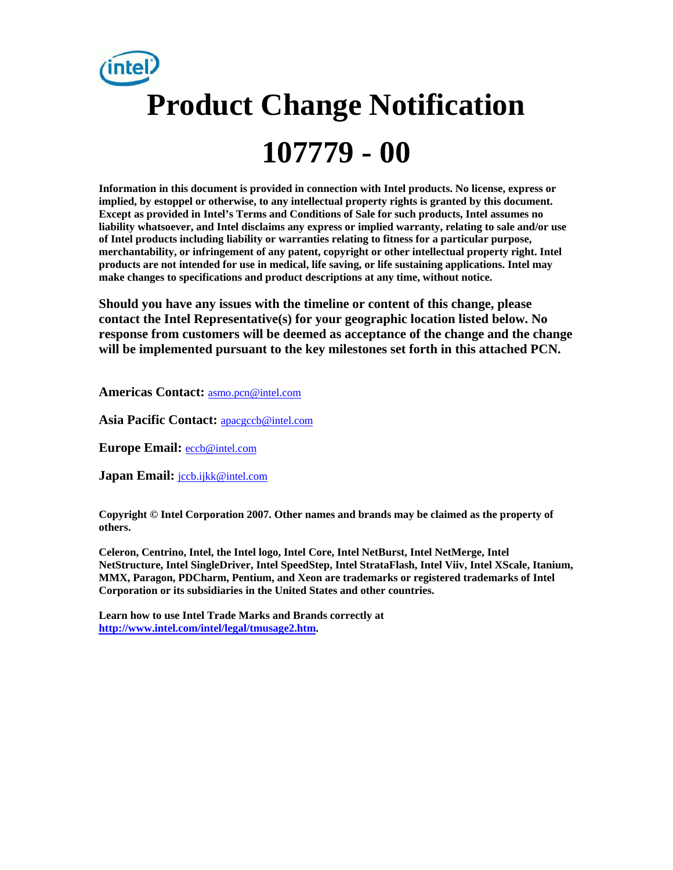# **Product Change Notification 107779 - 00**

**Information in this document is provided in connection with Intel products. No license, express or implied, by estoppel or otherwise, to any intellectual property rights is granted by this document. Except as provided in Intel's Terms and Conditions of Sale for such products, Intel assumes no liability whatsoever, and Intel disclaims any express or implied warranty, relating to sale and/or use of Intel products including liability or warranties relating to fitness for a particular purpose, merchantability, or infringement of any patent, copyright or other intellectual property right. Intel products are not intended for use in medical, life saving, or life sustaining applications. Intel may make changes to specifications and product descriptions at any time, without notice.** 

**Should you have any issues with the timeline or content of this change, please contact the Intel Representative(s) for your geographic location listed below. No response from customers will be deemed as acceptance of the change and the change will be implemented pursuant to the key milestones set forth in this attached PCN.** 

**Americas Contact:** asmo.pcn@intel.com

**Asia Pacific Contact:** apacgccb@intel.com

**Europe Email:** eccb@intel.com

**Japan Email:** jccb.ijkk@intel.com

**Copyright © Intel Corporation 2007. Other names and brands may be claimed as the property of others.**

**Celeron, Centrino, Intel, the Intel logo, Intel Core, Intel NetBurst, Intel NetMerge, Intel NetStructure, Intel SingleDriver, Intel SpeedStep, Intel StrataFlash, Intel Viiv, Intel XScale, Itanium, MMX, Paragon, PDCharm, Pentium, and Xeon are trademarks or registered trademarks of Intel Corporation or its subsidiaries in the United States and other countries.** 

**Learn how to use Intel Trade Marks and Brands correctly at http://www.intel.com/intel/legal/tmusage2.htm.**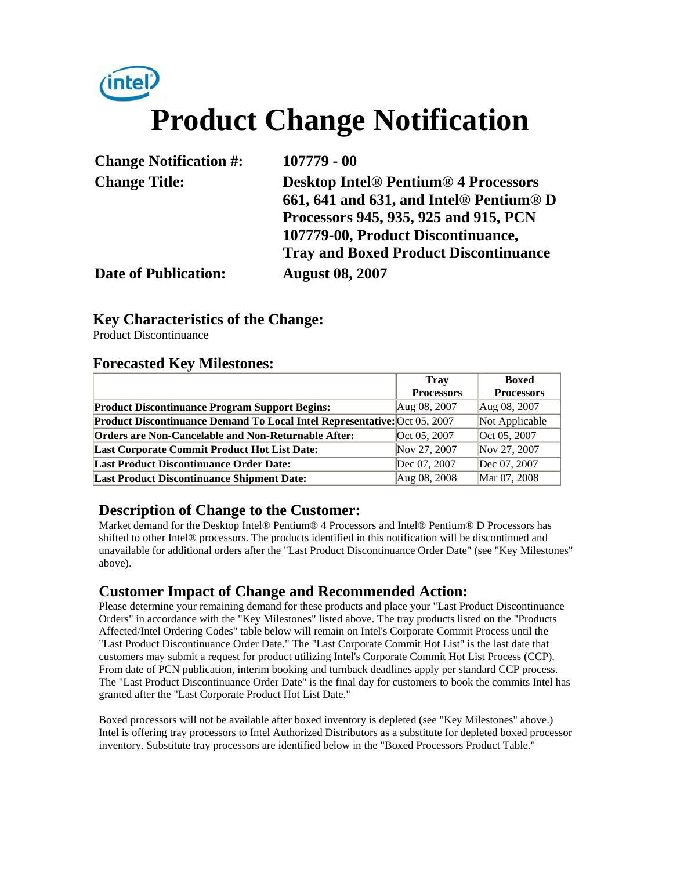## (intel) **Product Change Notification**

| <b>Change Notification #:</b> | $107779 - 00$                                |
|-------------------------------|----------------------------------------------|
| <b>Change Title:</b>          | <b>Desktop Intel® Pentium® 4 Processors</b>  |
|                               | 661, 641 and 631, and Intel® Pentium® D      |
|                               | Processors 945, 935, 925 and 915, PCN        |
|                               | 107779-00, Product Discontinuance,           |
|                               | <b>Tray and Boxed Product Discontinuance</b> |
| <b>Date of Publication:</b>   | <b>August 08, 2007</b>                       |

## **Key Characteristics of the Change:**

Product Discontinuance

### **Forecasted Key Milestones:**

|                                                                           | <b>Tray</b>       | <b>Boxed</b>      |
|---------------------------------------------------------------------------|-------------------|-------------------|
|                                                                           | <b>Processors</b> | <b>Processors</b> |
| <b>Product Discontinuance Program Support Begins:</b>                     | Aug 08, 2007      | Aug 08, 2007      |
| Product Discontinuance Demand To Local Intel Representative: Oct 05, 2007 |                   | Not Applicable    |
| <b>Orders are Non-Cancelable and Non-Returnable After:</b>                | Oct 05, 2007      | Oct 05, 2007      |
| <b>Last Corporate Commit Product Hot List Date:</b>                       | Nov 27, 2007      | Nov 27, 2007      |
| <b>Last Product Discontinuance Order Date:</b>                            | Dec 07, 2007      | Dec 07, 2007      |
| <b>Last Product Discontinuance Shipment Date:</b>                         | Aug 08, 2008      | Mar 07, 2008      |

## **Description of Change to the Customer:**

Market demand for the Desktop Intel® Pentium® 4 Processors and Intel® Pentium® D Processors has shifted to other Intel® processors. The products identified in this notification will be discontinued and unavailable for additional orders after the "Last Product Discontinuance Order Date" (see "Key Milestones" above).

## **Customer Impact of Change and Recommended Action:**

Please determine your remaining demand for these products and place your "Last Product Discontinuance Orders" in accordance with the "Key Milestones" listed above. The tray products listed on the "Products Affected/Intel Ordering Codes" table below will remain on Intel's Corporate Commit Process until the "Last Product Discontinuance Order Date." The "Last Corporate Commit Hot List" is the last date that customers may submit a request for product utilizing Intel's Corporate Commit Hot List Process (CCP). From date of PCN publication, interim booking and turnback deadlines apply per standard CCP process. The "Last Product Discontinuance Order Date" is the final day for customers to book the commits Intel has granted after the "Last Corporate Product Hot List Date."

Boxed processors will not be available after boxed inventory is depleted (see "Key Milestones" above.) Intel is offering tray processors to Intel Authorized Distributors as a substitute for depleted boxed processor inventory. Substitute tray processors are identified below in the "Boxed Processors Product Table."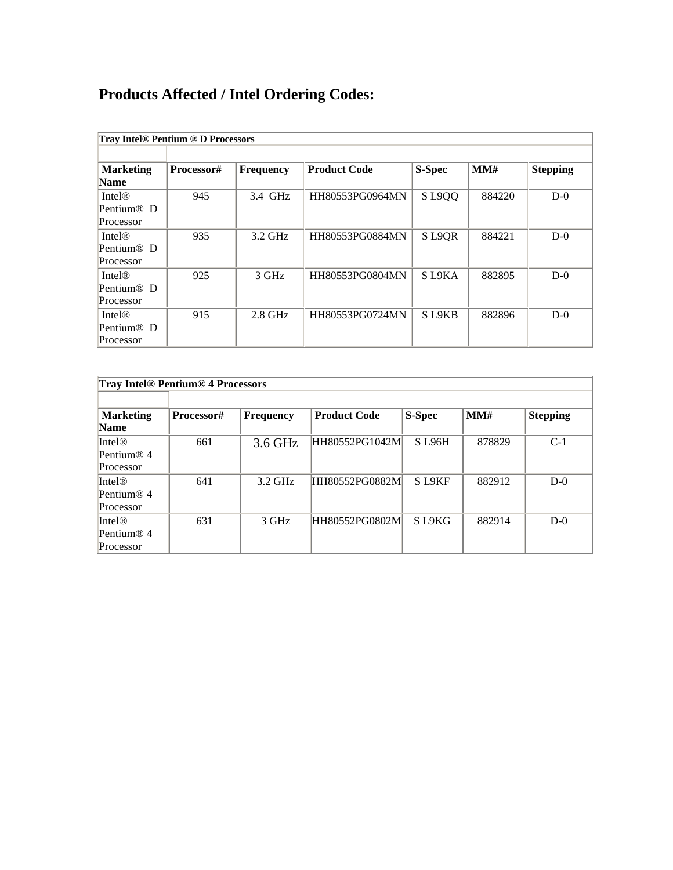## **Products Affected / Intel Ordering Codes:**

| <b>Tray Intel® Pentium ® D Processors</b>                       |            |                  |                     |                                |        |                 |  |  |
|-----------------------------------------------------------------|------------|------------------|---------------------|--------------------------------|--------|-----------------|--|--|
|                                                                 |            |                  |                     |                                |        |                 |  |  |
| <b>Marketing</b><br><b>Name</b>                                 | Processor# | <b>Frequency</b> | <b>Product Code</b> | S-Spec                         | MM#    | <b>Stepping</b> |  |  |
| <b>Intel<sup>®</sup></b><br>Pentium <sup>®</sup> D<br>Processor | 945        | 3.4 GHz          | HH80553PG0964MN     | SL9QQ                          | 884220 | $D-0$           |  |  |
| Intel@<br>Pentium® D<br>Processor                               | 935        | $3.2$ GHz        | HH80553PG0884MN     | S L9QR                         | 884221 | $D-0$           |  |  |
| Intel@<br>Pentium <sup>®</sup> D<br>Processor                   | 925        | 3 GHz            | HH80553PG0804MN     | S <sub>L9</sub> KA             | 882895 | $D-0$           |  |  |
| <b>Intel®</b><br>Pentium <sup>®</sup> D<br>Processor            | 915        | $2.8$ GHz        | HH80553PG0724MN     | S <sub>L9</sub> K <sub>B</sub> | 882896 | $D-0$           |  |  |

| <b>Tray Intel® Pentium® 4 Processors</b> |            |           |                     |              |        |                 |  |
|------------------------------------------|------------|-----------|---------------------|--------------|--------|-----------------|--|
|                                          |            |           |                     |              |        |                 |  |
| <b>Marketing</b>                         | Processor# | Frequency | <b>Product Code</b> | S-Spec       | MM#    | <b>Stepping</b> |  |
| <b>Name</b>                              |            |           |                     |              |        |                 |  |
| [Intel@]                                 | 661        | 3.6 GHz   | HH80552PG1042M      | <b>SL96H</b> | 878829 | $C-1$           |  |
| Pentium® 4                               |            |           |                     |              |        |                 |  |
| Processor                                |            |           |                     |              |        |                 |  |
| Intel <sup>®</sup>                       | 641        | $3.2$ GHz | HH80552PG0882M      | S L9KF       | 882912 | $D-0$           |  |
| Pentium® 4                               |            |           |                     |              |        |                 |  |
| Processor                                |            |           |                     |              |        |                 |  |
| Intel <sup>®</sup>                       | 631        | 3 GHz     | HH80552PG0802M      | S L9KG       | 882914 | $D-0$           |  |
| Pentium® 4                               |            |           |                     |              |        |                 |  |
| Processor                                |            |           |                     |              |        |                 |  |